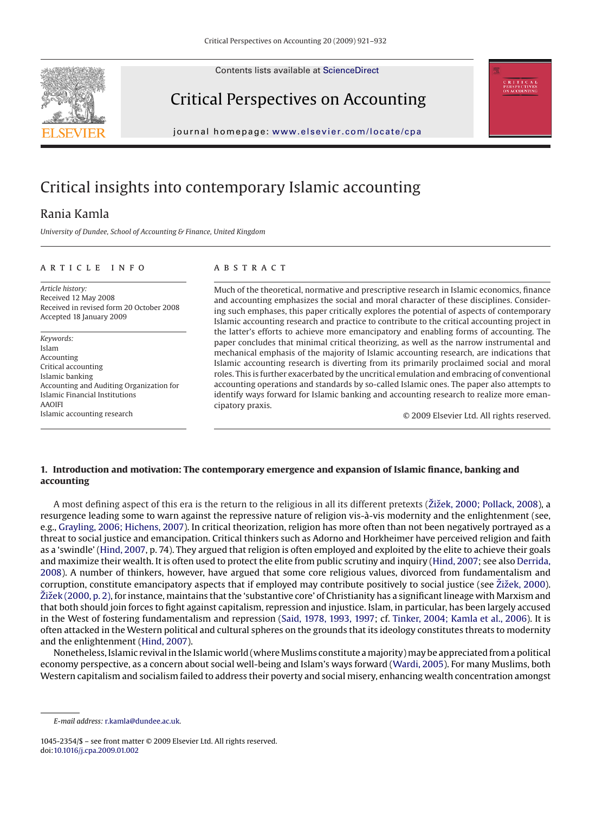Contents lists available at [ScienceDirect](http://www.sciencedirect.com/science/journal/10452354)





# Critical Perspectives on Accounting

journal homepage: [www.elsevier.com/locate/cpa](http://www.elsevier.com/locate/cpa)

# Critical insights into contemporary Islamic accounting

# Rania Kamla

*University of Dundee, School of Accounting & Finance, United Kingdom*

# article info

*Article history:* Received 12 May 2008 Received in revised form 20 October 2008 Accepted 18 January 2009

*Keywords:* Islam Accounting Critical accounting Islamic banking Accounting and Auditing Organization for Islamic Financial Institutions AAOIFI Islamic accounting research

# ABSTRACT

Much of the theoretical, normative and prescriptive research in Islamic economics, finance and accounting emphasizes the social and moral character of these disciplines. Considering such emphases, this paper critically explores the potential of aspects of contemporary Islamic accounting research and practice to contribute to the critical accounting project in the latter's efforts to achieve more emancipatory and enabling forms of accounting. The paper concludes that minimal critical theorizing, as well as the narrow instrumental and mechanical emphasis of the majority of Islamic accounting research, are indications that Islamic accounting research is diverting from its primarily proclaimed social and moral roles. This is further exacerbated by the uncritical emulation and embracing of conventional accounting operations and standards by so-called Islamic ones. The paper also attempts to identify ways forward for Islamic banking and accounting research to realize more emancipatory praxis.

© 2009 Elsevier Ltd. All rights reserved.

# **1. Introduction and motivation: The contemporary emergence and expansion of Islamic finance, banking and accounting**

A most defining aspect of this era is the return to the religious in all its different pretexts (Žižek, 2000; Pollack, 2008), a resurgence leading some to warn against the repressive nature of religion vis-à-vis modernity and the enlightenment (see, e.g., [Grayling, 2006; Hichens, 2007\).](#page-10-0) In critical theorization, religion has more often than not been negatively portrayed as a threat to social justice and emancipation. Critical thinkers such as Adorno and Horkheimer have perceived religion and faith as a 'swindle' [\(Hind, 2007, p](#page-10-0). 74). They argued that religion is often employed and exploited by the elite to achieve their goals and maximize their wealth. It is often used to protect the elite from public scrutiny and inquiry [\(Hind, 2007; s](#page-10-0)ee also [Derrida,](#page-10-0) [2008\).](#page-10-0) A number of thinkers, however, have argued that some core religious values, divorced from fundamentalism and corruption, constitute emancipatory aspects that if employed may contribute positively to social justice (see Žižek, 2000).  $\tilde{Z}$ ižek (2000, p. 2), for instance, maintains that the 'substantive core' of Christianity has a significant lineage with Marxism and that both should join forces to fight against capitalism, repression and injustice. Islam, in particular, has been largely accused in the West of fostering fundamentalism and repression [\(Said, 1978, 1993, 1997;](#page-11-0) cf. [Tinker, 2004; Kamla et al., 2006\).](#page-11-0) It is often attacked in the Western political and cultural spheres on the grounds that its ideology constitutes threats to modernity and the enlightenment [\(Hind, 2007\).](#page-10-0)

Nonetheless, Islamic revival in the Islamic world (where Muslims constitute a majority) may be appreciated from a political economy perspective, as a concern about social well-being and Islam's ways forward [\(Wardi, 2005\).](#page-11-0) For many Muslims, both Western capitalism and socialism failed to address their poverty and social misery, enhancing wealth concentration amongst

*E-mail address:* [r.kamla@dundee.ac.uk.](mailto:r.kamla@dundee.ac.uk)

<sup>1045-2354/\$ –</sup> see front matter © 2009 Elsevier Ltd. All rights reserved. doi:[10.1016/j.cpa.2009.01.002](dx.doi.org/10.1016/j.cpa.2009.01.002)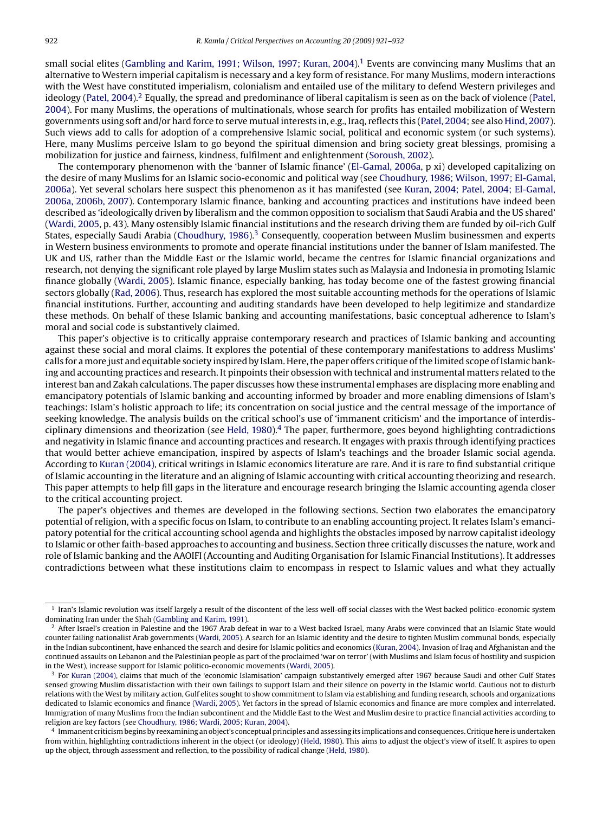small social elites (Gambling and Karim, 1991; Wilson, 1997; Kuran, 2004).<sup>1</sup> Events are convincing many Muslims that an alternative to Western imperial capitalism is necessary and a key form of resistance. For many Muslims, modern interactions with the West have constituted imperialism, colonialism and entailed use of the military to defend Western privileges and ideology [\(Patel, 2004\).](#page-10-0)<sup>2</sup> Equally, the spread and predominance of liberal capitalism is seen as on the back of violence ([Patel,](#page-10-0) [2004\).](#page-10-0) For many Muslims, the operations of multinationals, whose search for profits has entailed mobilization of Western governments using soft and/or hard force to serve mutual interests in, e.g., Iraq, reflects this ([Patel, 2004; s](#page-10-0)ee also [Hind, 2007\).](#page-10-0) Such views add to calls for adoption of a comprehensive Islamic social, political and economic system (or such systems). Here, many Muslims perceive Islam to go beyond the spiritual dimension and bring society great blessings, promising a mobilization for justice and fairness, kindness, fulfilment and enlightenment [\(Soroush, 2002\).](#page-11-0)

The contemporary phenomenon with the 'banner of Islamic finance' [\(El-Gamal, 2006a, p](#page-10-0) xi) developed capitalizing on the desire of many Muslims for an Islamic socio-economic and political way (see [Choudhury, 1986; Wilson, 1997; El-Gamal,](#page-10-0) [2006a\).](#page-10-0) Yet several scholars here suspect this phenomenon as it has manifested (see [Kuran, 2004; Patel, 2004; El-Gamal,](#page-10-0) [2006a, 2006b, 2007\).](#page-10-0) Contemporary Islamic finance, banking and accounting practices and institutions have indeed been described as 'ideologically driven by liberalism and the common opposition to socialism that Saudi Arabia and the US shared' [\(Wardi, 2005, p](#page-11-0). 43). Many ostensibly Islamic financial institutions and the research driving them are funded by oil-rich Gulf States, especially Saudi Arabia [\(Choudhury, 1986\).](#page-10-0)<sup>3</sup> Consequently, cooperation between Muslim businessmen and experts in Western business environments to promote and operate financial institutions under the banner of Islam manifested. The UK and US, rather than the Middle East or the Islamic world, became the centres for Islamic financial organizations and research, not denying the significant role played by large Muslim states such as Malaysia and Indonesia in promoting Islamic finance globally [\(Wardi, 2005\).](#page-11-0) Islamic finance, especially banking, has today become one of the fastest growing financial sectors globally ([Rad, 2006\).](#page-11-0) Thus, research has explored the most suitable accounting methods for the operations of Islamic financial institutions. Further, accounting and auditing standards have been developed to help legitimize and standardize these methods. On behalf of these Islamic banking and accounting manifestations, basic conceptual adherence to Islam's moral and social code is substantively claimed.

This paper's objective is to critically appraise contemporary research and practices of Islamic banking and accounting against these social and moral claims. It explores the potential of these contemporary manifestations to address Muslims' calls for a more just and equitable society inspired by Islam. Here, the paper offers critique of the limited scope of Islamic banking and accounting practices and research. It pinpoints their obsession with technical and instrumental matters related to the interest ban and Zakah calculations. The paper discusses how these instrumental emphases are displacing more enabling and emancipatory potentials of Islamic banking and accounting informed by broader and more enabling dimensions of Islam's teachings: Islam's holistic approach to life; its concentration on social justice and the central message of the importance of seeking knowledge. The analysis builds on the critical school's use of 'immanent criticism' and the importance of interdis-ciplinary dimensions and theorization (see [Held, 1980\).](#page-10-0)<sup>4</sup> The paper, furthermore, goes beyond highlighting contradictions and negativity in Islamic finance and accounting practices and research. It engages with praxis through identifying practices that would better achieve emancipation, inspired by aspects of Islam's teachings and the broader Islamic social agenda. According to [Kuran \(2004\), c](#page-10-0)ritical writings in Islamic economics literature are rare. And it is rare to find substantial critique of Islamic accounting in the literature and an aligning of Islamic accounting with critical accounting theorizing and research. This paper attempts to help fill gaps in the literature and encourage research bringing the Islamic accounting agenda closer to the critical accounting project.

The paper's objectives and themes are developed in the following sections. Section two elaborates the emancipatory potential of religion, with a specific focus on Islam, to contribute to an enabling accounting project. It relates Islam's emancipatory potential for the critical accounting school agenda and highlights the obstacles imposed by narrow capitalist ideology to Islamic or other faith-based approaches to accounting and business. Section three critically discusses the nature, work and role of Islamic banking and the AAOIFI (Accounting and Auditing Organisation for Islamic Financial Institutions). It addresses contradictions between what these institutions claim to encompass in respect to Islamic values and what they actually

<sup>&</sup>lt;sup>1</sup> Iran's Islamic revolution was itself largely a result of the discontent of the less well-off social classes with the West backed politico-economic system dominating Iran under the Shah ([Gambling and Karim, 1991\).](#page-10-0)

 $<sup>2</sup>$  After Israel's creation in Palestine and the 1967 Arab defeat in war to a West backed Israel, many Arabs were convinced that an Islamic State would</sup> counter failing nationalist Arab governments [\(Wardi, 2005\).](#page-11-0) A search for an Islamic identity and the desire to tighten Muslim communal bonds, especially in the Indian subcontinent, have enhanced the search and desire for Islamic politics and economics [\(Kuran, 2004\).](#page-10-0) Invasion of Iraq and Afghanistan and the continued assaults on Lebanon and the Palestinian people as part of the proclaimed 'war on terror' (with Muslims and Islam focus of hostility and suspicion in the West), increase support for Islamic politico-economic movements ([Wardi, 2005\).](#page-11-0)

<sup>&</sup>lt;sup>3</sup> For [Kuran \(2004\), c](#page-10-0)laims that much of the 'economic Islamisation' campaign substantively emerged after 1967 because Saudi and other Gulf States sensed growing Muslim dissatisfaction with their own failings to support Islam and their silence on poverty in the Islamic world. Cautious not to disturb relations with the West by military action, Gulf elites sought to show commitment to Islam via establishing and funding research, schools and organizations dedicated to Islamic economics and finance [\(Wardi, 2005\).](#page-11-0) Yet factors in the spread of Islamic economics and finance are more complex and interrelated. Immigration of many Muslims from the Indian subcontinent and the Middle East to the West and Muslim desire to practice financial activities according to religion are key factors (see [Choudhury, 1986; Wardi, 2005; Kuran, 2004\).](#page-10-0)

<sup>4</sup> Immanent criticism begins by reexamining an object's conceptual principles and assessing its implications and consequences. Critique here is undertaken from within, highlighting contradictions inherent in the object (or ideology) ([Held, 1980\).](#page-10-0) This aims to adjust the object's view of itself. It aspires to open up the object, through assessment and reflection, to the possibility of radical change ([Held, 1980\).](#page-10-0)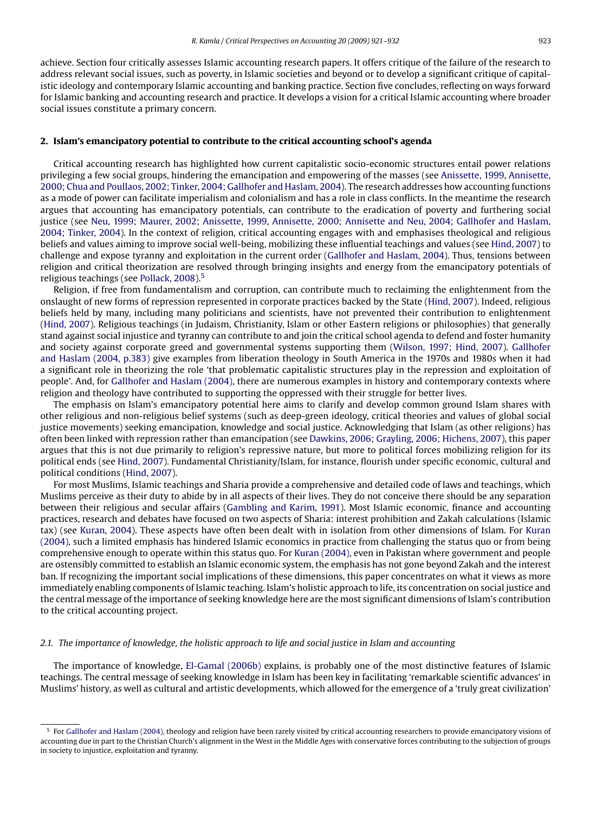achieve. Section four critically assesses Islamic accounting research papers. It offers critique of the failure of the research to address relevant social issues, such as poverty, in Islamic societies and beyond or to develop a significant critique of capitalistic ideology and contemporary Islamic accounting and banking practice. Section five concludes, reflecting on ways forward for Islamic banking and accounting research and practice. It develops a vision for a critical Islamic accounting where broader social issues constitute a primary concern.

#### **2. Islam's emancipatory potential to contribute to the critical accounting school's agenda**

Critical accounting research has highlighted how current capitalistic socio-economic structures entail power relations privileging a few social groups, hindering the emancipation and empowering of the masses (see [Anissette, 1999,](#page-10-0) [Annisette,](#page-10-0) [2000; Chua and Poullaos, 2002; Tinker, 2004; Gallhofer and Haslam, 2004\).](#page-10-0) The research addresses how accounting functions as a mode of power can facilitate imperialism and colonialism and has a role in class conflicts. In the meantime the research argues that accounting has emancipatory potentials, can contribute to the eradication of poverty and furthering social justice (see [Neu, 1999; Maurer, 2002;](#page-10-0) [Anissette, 1999,](#page-10-0) [Annisette, 2000; Annisette and Neu, 2004; Gallhofer and Haslam,](#page-10-0) [2004; Tinker, 2004\).](#page-10-0) In the context of religion, critical accounting engages with and emphasises theological and religious beliefs and values aiming to improve social well-being, mobilizing these influential teachings and values (see [Hind, 2007\) t](#page-10-0)o challenge and expose tyranny and exploitation in the current order [\(Gallhofer and Haslam, 2004\).](#page-10-0) Thus, tensions between religion and critical theorization are resolved through bringing insights and energy from the emancipatory potentials of religious teachings (see [Pollack, 2008\).](#page-10-0)<sup>5</sup>

Religion, if free from fundamentalism and corruption, can contribute much to reclaiming the enlightenment from the onslaught of new forms of repression represented in corporate practices backed by the State [\(Hind, 2007\).](#page-10-0) Indeed, religious beliefs held by many, including many politicians and scientists, have not prevented their contribution to enlightenment [\(Hind, 2007\).](#page-10-0) Religious teachings (in Judaism, Christianity, Islam or other Eastern religions or philosophies) that generally stand against social injustice and tyranny can contribute to and join the critical school agenda to defend and foster humanity and society against corporate greed and governmental systems supporting them [\(Wilson, 1997; Hind, 2007\).](#page-11-0) [Gallhofer](#page-10-0) [and Haslam \(2004, p.383\)](#page-10-0) give examples from liberation theology in South America in the 1970s and 1980s when it had a significant role in theorizing the role 'that problematic capitalistic structures play in the repression and exploitation of people'. And, for [Gallhofer and Haslam \(2004\), t](#page-10-0)here are numerous examples in history and contemporary contexts where religion and theology have contributed to supporting the oppressed with their struggle for better lives.

The emphasis on Islam's emancipatory potential here aims to clarify and develop common ground Islam shares with other religious and non-religious belief systems (such as deep-green ideology, critical theories and values of global social justice movements) seeking emancipation, knowledge and social justice. Acknowledging that Islam (as other religions) has often been linked with repression rather than emancipation (see [Dawkins, 2006; Grayling, 2006; Hichens, 2007\),](#page-10-0) this paper argues that this is not due primarily to religion's repressive nature, but more to political forces mobilizing religion for its political ends (see [Hind, 2007\).](#page-10-0) Fundamental Christianity/Islam, for instance, flourish under specific economic, cultural and political conditions [\(Hind, 2007\).](#page-10-0)

For most Muslims, Islamic teachings and Sharia provide a comprehensive and detailed code of laws and teachings, which Muslims perceive as their duty to abide by in all aspects of their lives. They do not conceive there should be any separation between their religious and secular affairs [\(Gambling and Karim, 1991\).](#page-10-0) Most Islamic economic, finance and accounting practices, research and debates have focused on two aspects of Sharia: interest prohibition and Zakah calculations (Islamic tax) (see [Kuran, 2004\).](#page-10-0) These aspects have often been dealt with in isolation from other dimensions of Islam. For [Kuran](#page-10-0) [\(2004\), s](#page-10-0)uch a limited emphasis has hindered Islamic economics in practice from challenging the status quo or from being comprehensive enough to operate within this status quo. For [Kuran \(2004\), e](#page-10-0)ven in Pakistan where government and people are ostensibly committed to establish an Islamic economic system, the emphasis has not gone beyond Zakah and the interest ban. If recognizing the important social implications of these dimensions, this paper concentrates on what it views as more immediately enabling components of Islamic teaching. Islam's holistic approach to life, its concentration on social justice and the central message of the importance of seeking knowledge here are the most significant dimensions of Islam's contribution to the critical accounting project.

# *2.1. The importance of knowledge, the holistic approach to life and social justice in Islam and accounting*

The importance of knowledge, [El-Gamal \(2006b\)](#page-10-0) explains, is probably one of the most distinctive features of Islamic teachings. The central message of seeking knowledge in Islam has been key in facilitating 'remarkable scientific advances' in Muslims' history, as well as cultural and artistic developments, which allowed for the emergence of a 'truly great civilization'

<sup>&</sup>lt;sup>5</sup> For [Gallhofer and Haslam \(2004\), t](#page-10-0)heology and religion have been rarely visited by critical accounting researchers to provide emancipatory visions of accounting due in part to the Christian Church's alignment in the West in the Middle Ages with conservative forces contributing to the subjection of groups in society to injustice, exploitation and tyranny.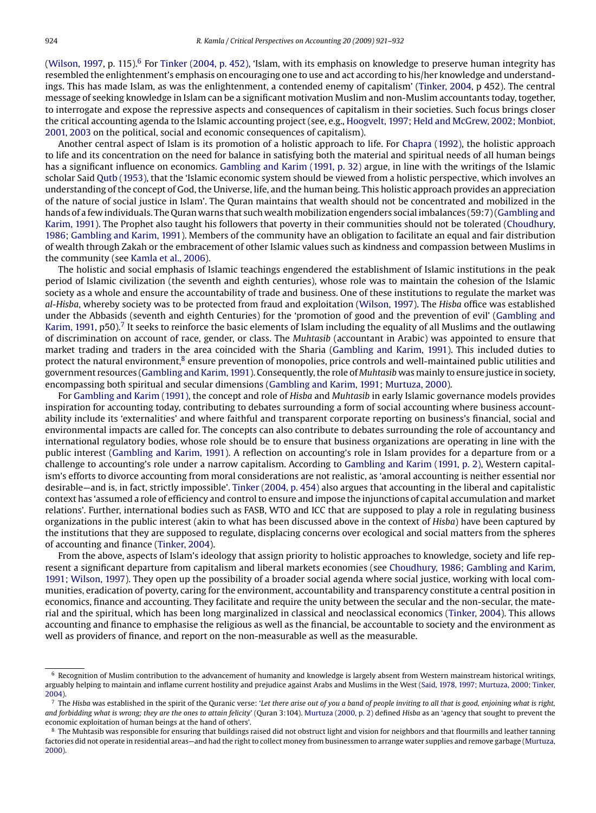[\(Wilson, 1997, p](#page-11-0). 115).<sup>6</sup> For [Tinker \(2004, p. 452\), '](#page-11-0)Islam, with its emphasis on knowledge to preserve human integrity has resembled the enlightenment's emphasis on encouraging one to use and act according to his/her knowledge and understandings. This has made Islam, as was the enlightenment, a contended enemy of capitalism' ([Tinker, 2004, p](#page-11-0) 452). The central message of seeking knowledge in Islam can be a significant motivation Muslim and non-Muslim accountants today, together, to interrogate and expose the repressive aspects and consequences of capitalism in their societies. Such focus brings closer the critical accounting agenda to the Islamic accounting project (see, e.g., [Hoogvelt, 1997; Held and McGrew, 2002; Monbiot,](#page-10-0) [2001, 2003](#page-10-0) on the political, social and economic consequences of capitalism).

Another central aspect of Islam is its promotion of a holistic approach to life. For [Chapra \(1992\), t](#page-10-0)he holistic approach to life and its concentration on the need for balance in satisfying both the material and spiritual needs of all human beings has a significant influence on economics. [Gambling and Karim \(1991, p. 32\)](#page-10-0) argue, in line with the writings of the Islamic scholar Said [Qutb \(1953\), t](#page-11-0)hat the 'Islamic economic system should be viewed from a holistic perspective, which involves an understanding of the concept of God, the Universe, life, and the human being. This holistic approach provides an appreciation of the nature of social justice in Islam'. The Quran maintains that wealth should not be concentrated and mobilized in the hands of a few individuals. The Quran warns that such wealth mobilization engenders social imbalances (59:7) ([Gambling and](#page-10-0) [Karim, 1991\).](#page-10-0) The Prophet also taught his followers that poverty in their communities should not be tolerated [\(Choudhury,](#page-10-0) [1986; Gambling and Karim, 1991\).](#page-10-0) Members of the community have an obligation to facilitate an equal and fair distribution of wealth through Zakah or the embracement of other Islamic values such as kindness and compassion between Muslims in the community (see [Kamla et al., 2006\).](#page-10-0)

The holistic and social emphasis of Islamic teachings engendered the establishment of Islamic institutions in the peak period of Islamic civilization (the seventh and eighth centuries), whose role was to maintain the cohesion of the Islamic society as a whole and ensure the accountability of trade and business. One of these institutions to regulate the market was *al-Hisba*, whereby society was to be protected from fraud and exploitation [\(Wilson, 1997\).](#page-11-0) The *Hisba* office was established under the Abbasids (seventh and eighth Centuries) for the 'promotion of good and the prevention of evil' [\(Gambling and](#page-10-0) [Karim, 1991, p](#page-10-0)50).<sup>7</sup> It seeks to reinforce the basic elements of Islam including the equality of all Muslims and the outlawing of discrimination on account of race, gender, or class. The *Muhtasib* (accountant in Arabic) was appointed to ensure that market trading and traders in the area coincided with the Sharia [\(Gambling and Karim, 1991\).](#page-10-0) This included duties to protect the natural environment, $^8$  ensure prevention of monopolies, price controls and well-maintained public utilities and government resources ([Gambling and Karim, 1991\).](#page-10-0) Consequently, the role of *Muhtasib* was mainly to ensure justice in society, encompassing both spiritual and secular dimensions ([Gambling and Karim, 1991; Murtuza, 2000\).](#page-10-0)

For [Gambling and Karim \(1991\), t](#page-10-0)he concept and role of *Hisba* and *Muhtasib* in early Islamic governance models provides inspiration for accounting today, contributing to debates surrounding a form of social accounting where business accountability include its 'externalities' and where faithful and transparent corporate reporting on business's financial, social and environmental impacts are called for. The concepts can also contribute to debates surrounding the role of accountancy and international regulatory bodies, whose role should be to ensure that business organizations are operating in line with the public interest ([Gambling and Karim, 1991\).](#page-10-0) A reflection on accounting's role in Islam provides for a departure from or a challenge to accounting's role under a narrow capitalism. According to [Gambling and Karim \(1991, p. 2\), W](#page-10-0)estern capitalism's efforts to divorce accounting from moral considerations are not realistic, as 'amoral accounting is neither essential nor desirable—and is, in fact, strictly impossible'. [Tinker \(2004, p. 454\)](#page-11-0) also argues that accounting in the liberal and capitalistic context has 'assumed a role of efficiency and control to ensure and impose the injunctions of capital accumulation and market relations'. Further, international bodies such as FASB, WTO and ICC that are supposed to play a role in regulating business organizations in the public interest (akin to what has been discussed above in the context of *Hisba*) have been captured by the institutions that they are supposed to regulate, displacing concerns over ecological and social matters from the spheres of accounting and finance [\(Tinker, 2004\).](#page-11-0)

From the above, aspects of Islam's ideology that assign priority to holistic approaches to knowledge, society and life represent a significant departure from capitalism and liberal markets economies (see [Choudhury, 1986; Gambling and Karim,](#page-10-0) [1991; Wilson, 1997\).](#page-10-0) They open up the possibility of a broader social agenda where social justice, working with local communities, eradication of poverty, caring for the environment, accountability and transparency constitute a central position in economics, finance and accounting. They facilitate and require the unity between the secular and the non-secular, the material and the spiritual, which has been long marginalized in classical and neoclassical economics [\(Tinker, 2004\).](#page-11-0) This allows accounting and finance to emphasise the religious as well as the financial, be accountable to society and the environment as well as providers of finance, and report on the non-measurable as well as the measurable.

 $6$  Recognition of Muslim contribution to the advancement of humanity and knowledge is largely absent from Western mainstream historical writings, arguably helping to maintain and inflame current hostility and prejudice against Arabs and Muslims in the West [\(Said, 1978, 1997; Murtuza, 2000; Tinker,](#page-11-0) [2004\).](#page-11-0)

<sup>7</sup> The *Hisba* was established in the spirit of the Quranic verse: '*Let there arise out of you a band of people inviting to all that is good, enjoining what is right, and forbidding what is wrong; they are the ones to attain felicity*' (Quran 3:104). [Murtuza \(2000, p. 2\)](#page-10-0) defined *Hisba* as an 'agency that sought to prevent the economic exploitation of human beings at the hand of others'.

 $8$  The Muhtasib was responsible for ensuring that buildings raised did not obstruct light and vision for neighbors and that flourmills and leather tanning factories did not operate in residential areas—and had the right to collect money from businessmen to arrange water supplies and remove garbage ([Murtuza,](#page-10-0) [2000\).](#page-10-0)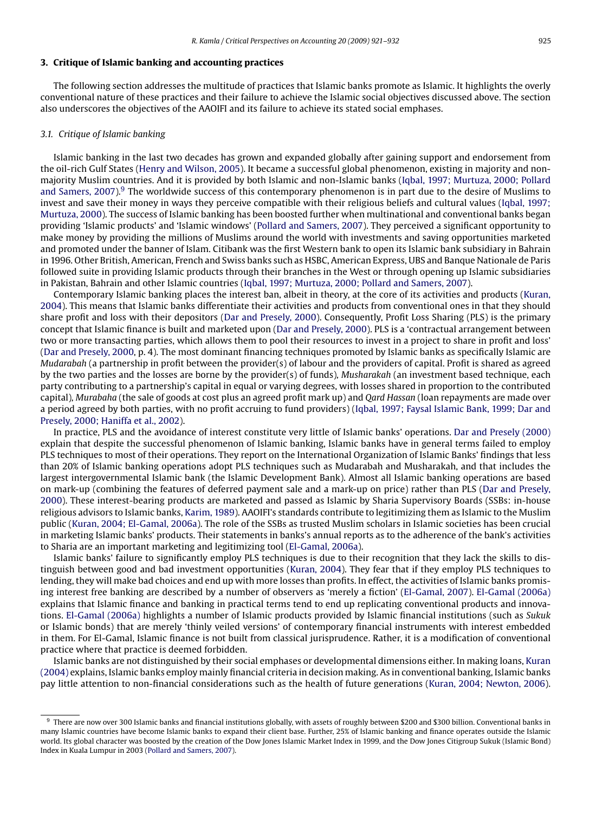#### **3. Critique of Islamic banking and accounting practices**

The following section addresses the multitude of practices that Islamic banks promote as Islamic. It highlights the overly conventional nature of these practices and their failure to achieve the Islamic social objectives discussed above. The section also underscores the objectives of the AAOIFI and its failure to achieve its stated social emphases.

#### *3.1. Critique of Islamic banking*

Islamic banking in the last two decades has grown and expanded globally after gaining support and endorsement from the oil-rich Gulf States [\(Henry and Wilson, 2005\).](#page-10-0) It became a successful global phenomenon, existing in majority and nonmajority Muslim countries. And it is provided by both Islamic and non-Islamic banks [\(Iqbal, 1997; Murtuza, 2000; Pollard](#page-10-0) and Samers,  $2007$ ).<sup>9</sup> The worldwide success of this contemporary phenomenon is in part due to the desire of Muslims to invest and save their money in ways they perceive compatible with their religious beliefs and cultural values ([Iqbal, 1997;](#page-10-0) [Murtuza, 2000\).](#page-10-0) The success of Islamic banking has been boosted further when multinational and conventional banks began providing 'Islamic products' and 'Islamic windows' ([Pollard and Samers, 2007\).](#page-11-0) They perceived a significant opportunity to make money by providing the millions of Muslims around the world with investments and saving opportunities marketed and promoted under the banner of Islam. Citibank was the first Western bank to open its Islamic bank subsidiary in Bahrain in 1996. Other British, American, French and Swiss banks such as HSBC, American Express, UBS and Banque Nationale de Paris followed suite in providing Islamic products through their branches in the West or through opening up Islamic subsidiaries in Pakistan, Bahrain and other Islamic countries ([Iqbal, 1997; Murtuza, 2000; Pollard and Samers, 2007\).](#page-10-0)

Contemporary Islamic banking places the interest ban, albeit in theory, at the core of its activities and products ([Kuran,](#page-10-0) [2004\).](#page-10-0) This means that Islamic banks differentiate their activities and products from conventional ones in that they should share profit and loss with their depositors ([Dar and Presely, 2000\).](#page-10-0) Consequently, Profit Loss Sharing (PLS) is the primary concept that Islamic finance is built and marketed upon ([Dar and Presely, 2000\).](#page-10-0) PLS is a 'contractual arrangement between two or more transacting parties, which allows them to pool their resources to invest in a project to share in profit and loss' [\(Dar and Presely, 2000, p](#page-10-0). 4). The most dominant financing techniques promoted by Islamic banks as specifically Islamic are *Mudarabah* (a partnership in profit between the provider(s) of labour and the providers of capital. Profit is shared as agreed by the two parties and the losses are borne by the provider(s) of funds)*, Musharakah* (an investment based technique, each party contributing to a partnership's capital in equal or varying degrees, with losses shared in proportion to the contributed capital)*, Murabaha* (the sale of goods at cost plus an agreed profit mark up) and *Qard Hassan* (loan repayments are made over a period agreed by both parties, with no profit accruing to fund providers) ([Iqbal, 1997; Faysal Islamic Bank, 1999; Dar and](#page-10-0) [Presely, 2000; Haniffa et al., 2002\).](#page-10-0)

In practice, PLS and the avoidance of interest constitute very little of Islamic banks' operations. [Dar and Presely \(2000\)](#page-10-0) explain that despite the successful phenomenon of Islamic banking, Islamic banks have in general terms failed to employ PLS techniques to most of their operations. They report on the International Organization of Islamic Banks' findings that less than 20% of Islamic banking operations adopt PLS techniques such as Mudarabah and Musharakah, and that includes the largest intergovernmental Islamic bank (the Islamic Development Bank). Almost all Islamic banking operations are based on mark-up (combining the features of deferred payment sale and a mark-up on price) rather than PLS [\(Dar and Presely,](#page-10-0) [2000\).](#page-10-0) These interest-bearing products are marketed and passed as Islamic by Sharia Supervisory Boards (SSBs: in-house religious advisors to Islamic banks, [Karim, 1989\).](#page-10-0) AAOIFI's standards contribute to legitimizing them as Islamic to the Muslim public ([Kuran, 2004; El-Gamal, 2006a\).](#page-10-0) The role of the SSBs as trusted Muslim scholars in Islamic societies has been crucial in marketing Islamic banks' products. Their statements in banks's annual reports as to the adherence of the bank's activities to Sharia are an important marketing and legitimizing tool [\(El-Gamal, 2006a\).](#page-10-0)

Islamic banks' failure to significantly employ PLS techniques is due to their recognition that they lack the skills to distinguish between good and bad investment opportunities [\(Kuran, 2004\).](#page-10-0) They fear that if they employ PLS techniques to lending, they will make bad choices and end up with more losses than profits. In effect, the activities of Islamic banks promising interest free banking are described by a number of observers as 'merely a fiction' [\(El-Gamal, 2007\).](#page-10-0) [El-Gamal \(2006a\)](#page-10-0) explains that Islamic finance and banking in practical terms tend to end up replicating conventional products and innovations. [El-Gamal \(2006a\)](#page-10-0) highlights a number of Islamic products provided by Islamic financial institutions (such as *Sukuk* or Islamic bonds) that are merely 'thinly veiled versions' of contemporary financial instruments with interest embedded in them. For El-Gamal, Islamic finance is not built from classical jurisprudence. Rather, it is a modification of conventional practice where that practice is deemed forbidden.

Islamic banks are not distinguished by their social emphases or developmental dimensions either. In making loans, [Kuran](#page-10-0) [\(2004\)](#page-10-0) explains, Islamic banks employ mainly financial criteria in decision making. As in conventional banking, Islamic banks pay little attention to non-financial considerations such as the health of future generations ([Kuran, 2004; Newton, 2006\).](#page-10-0)

 $9$  There are now over 300 Islamic banks and financial institutions globally, with assets of roughly between \$200 and \$300 billion. Conventional banks in many Islamic countries have become Islamic banks to expand their client base. Further, 25% of Islamic banking and finance operates outside the Islamic world. Its global character was boosted by the creation of the Dow Jones Islamic Market Index in 1999, and the Dow Jones Citigroup Sukuk (Islamic Bond) Index in Kuala Lumpur in 2003 ([Pollard and Samers, 2007\).](#page-11-0)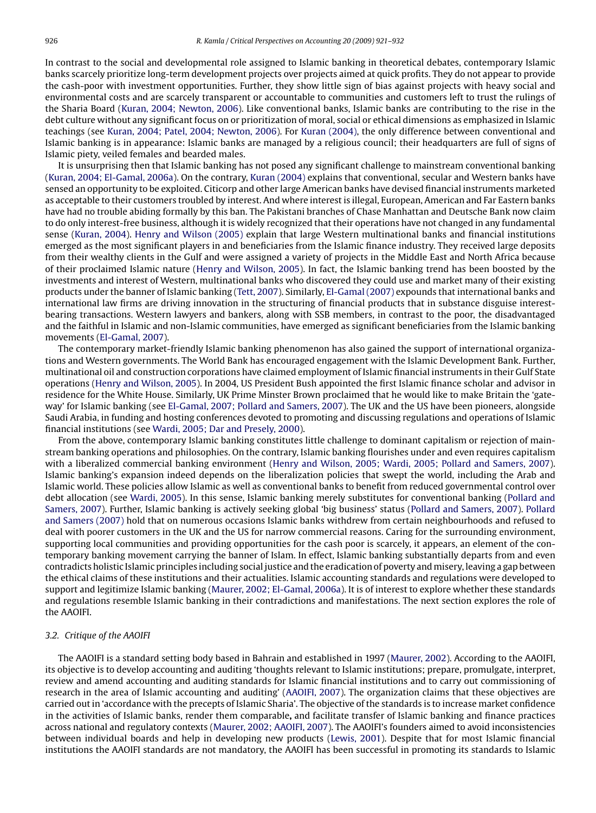In contrast to the social and developmental role assigned to Islamic banking in theoretical debates, contemporary Islamic banks scarcely prioritize long-term development projects over projects aimed at quick profits. They do not appear to provide the cash-poor with investment opportunities. Further, they show little sign of bias against projects with heavy social and environmental costs and are scarcely transparent or accountable to communities and customers left to trust the rulings of the Sharia Board ([Kuran, 2004; Newton, 2006\).](#page-10-0) Like conventional banks, Islamic banks are contributing to the rise in the debt culture without any significant focus on or prioritization of moral, social or ethical dimensions as emphasized in Islamic teachings (see [Kuran, 2004; Patel, 2004; Newton, 2006\).](#page-10-0) For [Kuran \(2004\), t](#page-10-0)he only difference between conventional and Islamic banking is in appearance: Islamic banks are managed by a religious council; their headquarters are full of signs of Islamic piety, veiled females and bearded males.

It is unsurprising then that Islamic banking has not posed any significant challenge to mainstream conventional banking [\(Kuran, 2004; El-Gamal, 2006a\).](#page-10-0) On the contrary, [Kuran \(2004\)](#page-10-0) explains that conventional, secular and Western banks have sensed an opportunity to be exploited. Citicorp and other large American banks have devised financial instruments marketed as acceptable to their customers troubled by interest. And where interest is illegal, European, American and Far Eastern banks have had no trouble abiding formally by this ban. The Pakistani branches of Chase Manhattan and Deutsche Bank now claim to do only interest-free business, although it is widely recognized that their operations have not changed in any fundamental sense [\(Kuran, 2004\).](#page-10-0) [Henry and Wilson \(2005\)](#page-10-0) explain that large Western multinational banks and financial institutions emerged as the most significant players in and beneficiaries from the Islamic finance industry. They received large deposits from their wealthy clients in the Gulf and were assigned a variety of projects in the Middle East and North Africa because of their proclaimed Islamic nature [\(Henry and Wilson, 2005\).](#page-10-0) In fact, the Islamic banking trend has been boosted by the investments and interest of Western, multinational banks who discovered they could use and market many of their existing products under the banner of Islamic banking ([Tett, 2007\).](#page-11-0) Similarly, [El-Gamal \(2007\)](#page-10-0) expounds that international banks and international law firms are driving innovation in the structuring of financial products that in substance disguise interestbearing transactions. Western lawyers and bankers, along with SSB members, in contrast to the poor, the disadvantaged and the faithful in Islamic and non-Islamic communities, have emerged as significant beneficiaries from the Islamic banking movements [\(El-Gamal, 2007\).](#page-10-0)

The contemporary market-friendly Islamic banking phenomenon has also gained the support of international organizations and Western governments. The World Bank has encouraged engagement with the Islamic Development Bank. Further, multinational oil and construction corporations have claimed employment of Islamic financial instruments in their Gulf State operations [\(Henry and Wilson, 2005\).](#page-10-0) In 2004, US President Bush appointed the first Islamic finance scholar and advisor in residence for the White House. Similarly, UK Prime Minster Brown proclaimed that he would like to make Britain the 'gateway' for Islamic banking (see [El-Gamal, 2007; Pollard and Samers, 2007\).](#page-10-0) The UK and the US have been pioneers, alongside Saudi Arabia, in funding and hosting conferences devoted to promoting and discussing regulations and operations of Islamic financial institutions (see [Wardi, 2005; Dar and Presely, 2000\).](#page-11-0)

From the above, contemporary Islamic banking constitutes little challenge to dominant capitalism or rejection of mainstream banking operations and philosophies. On the contrary, Islamic banking flourishes under and even requires capitalism with a liberalized commercial banking environment [\(Henry and Wilson, 2005; Wardi, 2005; Pollard and Samers, 2007\).](#page-10-0) Islamic banking's expansion indeed depends on the liberalization policies that swept the world, including the Arab and Islamic world. These policies allow Islamic as well as conventional banks to benefit from reduced governmental control over debt allocation (see [Wardi, 2005\).](#page-11-0) In this sense, Islamic banking merely substitutes for conventional banking ([Pollard and](#page-11-0) [Samers, 2007\).](#page-11-0) Further, Islamic banking is actively seeking global 'big business' status [\(Pollard and Samers, 2007\).](#page-11-0) [Pollard](#page-11-0) [and Samers \(2007\)](#page-11-0) hold that on numerous occasions Islamic banks withdrew from certain neighbourhoods and refused to deal with poorer customers in the UK and the US for narrow commercial reasons. Caring for the surrounding environment, supporting local communities and providing opportunities for the cash poor is scarcely, it appears, an element of the contemporary banking movement carrying the banner of Islam. In effect, Islamic banking substantially departs from and even contradicts holistic Islamic principles including social justice and the eradication of poverty andmisery, leaving a gap between the ethical claims of these institutions and their actualities. Islamic accounting standards and regulations were developed to support and legitimize Islamic banking [\(Maurer, 2002; El-Gamal, 2006a\).](#page-10-0) It is of interest to explore whether these standards and regulations resemble Islamic banking in their contradictions and manifestations. The next section explores the role of the AAOIFI.

### *3.2. Critique of the AAOIFI*

The AAOIFI is a standard setting body based in Bahrain and established in 1997 ([Maurer, 2002\).](#page-10-0) According to the AAOIFI, its objective is to develop accounting and auditing 'thoughts relevant to Islamic institutions; prepare, promulgate, interpret, review and amend accounting and auditing standards for Islamic financial institutions and to carry out commissioning of research in the area of Islamic accounting and auditing' [\(AAOIFI, 2007\).](#page-10-0) The organization claims that these objectives are carried out in 'accordance with the precepts of Islamic Sharia'. The objective of the standards is to increase market confidence in the activities of Islamic banks, render them comparable**,** and facilitate transfer of Islamic banking and finance practices across national and regulatory contexts ([Maurer, 2002; AAOIFI, 2007\).](#page-10-0) The AAOIFI's founders aimed to avoid inconsistencies between individual boards and help in developing new products [\(Lewis, 2001\).](#page-10-0) Despite that for most Islamic financial institutions the AAOIFI standards are not mandatory, the AAOIFI has been successful in promoting its standards to Islamic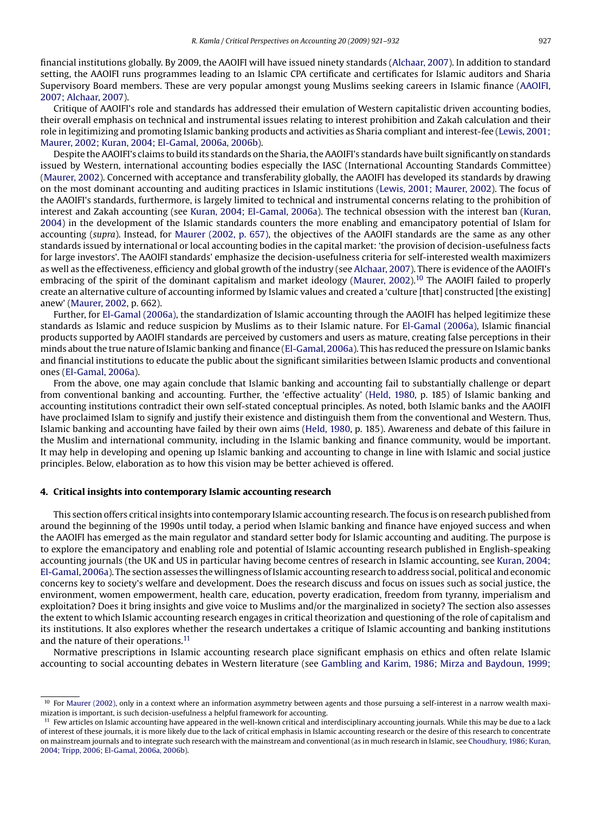financial institutions globally. By 2009, the AAOIFI will have issued ninety standards [\(Alchaar, 2007\).](#page-10-0) In addition to standard setting, the AAOIFI runs programmes leading to an Islamic CPA certificate and certificates for Islamic auditors and Sharia Supervisory Board members. These are very popular amongst young Muslims seeking careers in Islamic finance [\(AAOIFI,](#page-10-0) [2007; Alchaar, 2007\).](#page-10-0)

Critique of AAOIFI's role and standards has addressed their emulation of Western capitalistic driven accounting bodies, their overall emphasis on technical and instrumental issues relating to interest prohibition and Zakah calculation and their role in legitimizing and promoting Islamic banking products and activities as Sharia compliant and interest-fee ([Lewis, 2001;](#page-10-0) [Maurer, 2002; Kuran, 2004; El-Gamal, 2006a, 2006b\).](#page-10-0)

Despite the AAOIFI's claims to build its standards on the Sharia, the AAOIFI's standards have built significantly on standards issued by Western, international accounting bodies especially the IASC (International Accounting Standards Committee) [\(Maurer, 2002\).](#page-10-0) Concerned with acceptance and transferability globally, the AAOIFI has developed its standards by drawing on the most dominant accounting and auditing practices in Islamic institutions ([Lewis, 2001; Maurer, 2002\).](#page-10-0) The focus of the AAOIFI's standards, furthermore, is largely limited to technical and instrumental concerns relating to the prohibition of interest and Zakah accounting (see [Kuran, 2004; El-Gamal, 2006a\).](#page-10-0) The technical obsession with the interest ban ([Kuran,](#page-10-0) [2004\)](#page-10-0) in the development of the Islamic standards counters the more enabling and emancipatory potential of Islam for accounting (*supra*). Instead, for [Maurer \(2002, p. 657\),](#page-10-0) the objectives of the AAOIFI standards are the same as any other standards issued by international or local accounting bodies in the capital market: 'the provision of decision-usefulness facts for large investors'. The AAOIFI standards' emphasize the decision-usefulness criteria for self-interested wealth maximizers as well as the effectiveness, efficiency and global growth of the industry (see [Alchaar, 2007\).](#page-10-0) There is evidence of the AAOIFI's embracing of the spirit of the dominant capitalism and market ideology (Maurer, 2002).<sup>10</sup> The AAOIFI failed to properly create an alternative culture of accounting informed by Islamic values and created a 'culture [that] constructed [the existing] anew' ([Maurer, 2002, p](#page-10-0). 662).

Further, for [El-Gamal \(2006a\), t](#page-10-0)he standardization of Islamic accounting through the AAOIFI has helped legitimize these standards as Islamic and reduce suspicion by Muslims as to their Islamic nature. For [El-Gamal \(2006a\), I](#page-10-0)slamic financial products supported by AAOIFI standards are perceived by customers and users as mature, creating false perceptions in their minds about the true nature of Islamic banking and finance [\(El-Gamal, 2006a\).](#page-10-0) This has reduced the pressure on Islamic banks and financial institutions to educate the public about the significant similarities between Islamic products and conventional ones ([El-Gamal, 2006a\).](#page-10-0)

From the above, one may again conclude that Islamic banking and accounting fail to substantially challenge or depart from conventional banking and accounting. Further, the 'effective actuality' [\(Held, 1980, p](#page-10-0). 185) of Islamic banking and accounting institutions contradict their own self-stated conceptual principles. As noted, both Islamic banks and the AAOIFI have proclaimed Islam to signify and justify their existence and distinguish them from the conventional and Western. Thus, Islamic banking and accounting have failed by their own aims [\(Held, 1980, p](#page-10-0). 185). Awareness and debate of this failure in the Muslim and international community, including in the Islamic banking and finance community, would be important. It may help in developing and opening up Islamic banking and accounting to change in line with Islamic and social justice principles. Below, elaboration as to how this vision may be better achieved is offered.

#### **4. Critical insights into contemporary Islamic accounting research**

This section offers critical insights into contemporary Islamic accounting research. The focus is on research published from around the beginning of the 1990s until today, a period when Islamic banking and finance have enjoyed success and when the AAOIFI has emerged as the main regulator and standard setter body for Islamic accounting and auditing. The purpose is to explore the emancipatory and enabling role and potential of Islamic accounting research published in English-speaking accounting journals (the UK and US in particular having become centres of research in Islamic accounting, see [Kuran, 2004;](#page-10-0) [El-Gamal, 2006a\).](#page-10-0) The section assesses the willingness of Islamic accounting research to address social, political and economic concerns key to society's welfare and development. Does the research discuss and focus on issues such as social justice, the environment, women empowerment, health care, education, poverty eradication, freedom from tyranny, imperialism and exploitation? Does it bring insights and give voice to Muslims and/or the marginalized in society? The section also assesses the extent to which Islamic accounting research engages in critical theorization and questioning of the role of capitalism and its institutions. It also explores whether the research undertakes a critique of Islamic accounting and banking institutions and the nature of their operations.<sup>11</sup>

Normative prescriptions in Islamic accounting research place significant emphasis on ethics and often relate Islamic accounting to social accounting debates in Western literature (see [Gambling and Karim, 1986; Mirza and Baydoun, 1999;](#page-10-0)

<sup>&</sup>lt;sup>10</sup> For [Maurer \(2002\), o](#page-10-0)nly in a context where an information asymmetry between agents and those pursuing a self-interest in a narrow wealth maximization is important, is such decision-usefulness a helpful framework for accounting.

<sup>&</sup>lt;sup>11</sup> Few articles on Islamic accounting have appeared in the well-known critical and interdisciplinary accounting journals. While this may be due to a lack of interest of these journals, it is more likely due to the lack of critical emphasis in Islamic accounting research or the desire of this research to concentrate on mainstream journals and to integrate such research with the mainstream and conventional (as in much research in Islamic, see [Choudhury, 1986; Kuran,](#page-10-0) [2004; Tripp, 2006; El-Gamal, 2006a, 2006b\).](#page-10-0)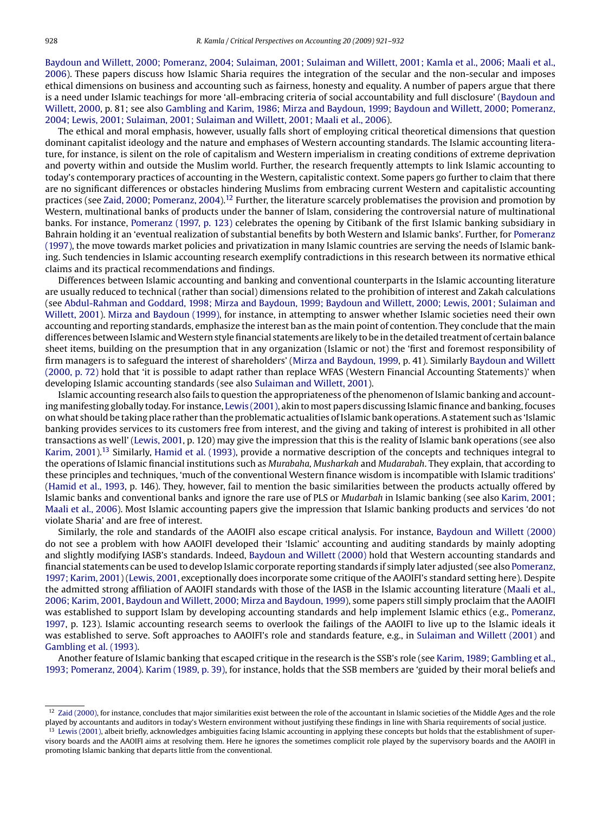[Baydoun and Willett, 2000; Pomeranz, 2004; Sulaiman, 2001; Sulaiman and Willett, 2001; Kamla et al., 2006; Maali et al.,](#page-10-0) [2006\).](#page-10-0) These papers discuss how Islamic Sharia requires the integration of the secular and the non-secular and imposes ethical dimensions on business and accounting such as fairness, honesty and equality. A number of papers argue that there is a need under Islamic teachings for more 'all-embracing criteria of social accountability and full disclosure' ([Baydoun and](#page-10-0) [Willett, 2000, p](#page-10-0). 81; see also [Gambling and Karim, 1986; Mirza and Baydoun, 1999; Baydoun and Willett, 2000;](#page-10-0) [Pomeranz,](#page-11-0) [2004; Lewis, 2001; Sulaiman, 2001; Sulaiman and Willett, 2001; Maali et al., 2006\).](#page-11-0)

The ethical and moral emphasis, however, usually falls short of employing critical theoretical dimensions that question dominant capitalist ideology and the nature and emphases of Western accounting standards. The Islamic accounting literature, for instance, is silent on the role of capitalism and Western imperialism in creating conditions of extreme deprivation and poverty within and outside the Muslim world. Further, the research frequently attempts to link Islamic accounting to today's contemporary practices of accounting in the Western, capitalistic context. Some papers go further to claim that there are no significant differences or obstacles hindering Muslims from embracing current Western and capitalistic accounting practices (see [Zaid, 2000;](#page-11-0) [Pomeranz, 2004\).](#page-11-0)<sup>12</sup> Further, the literature scarcely problematises the provision and promotion by Western, multinational banks of products under the banner of Islam, considering the controversial nature of multinational banks. For instance, [Pomeranz \(1997, p. 123\)](#page-11-0) celebrates the opening by Citibank of the first Islamic banking subsidiary in Bahrain holding it an 'eventual realization of substantial benefits by both Western and Islamic banks'. Further, for [Pomeranz](#page-11-0) [\(1997\), t](#page-11-0)he move towards market policies and privatization in many Islamic countries are serving the needs of Islamic banking. Such tendencies in Islamic accounting research exemplify contradictions in this research between its normative ethical claims and its practical recommendations and findings.

Differences between Islamic accounting and banking and conventional counterparts in the Islamic accounting literature are usually reduced to technical (rather than social) dimensions related to the prohibition of interest and Zakah calculations (see [Abdul-Rahman and Goddard, 1998; Mirza and Baydoun, 1999; Baydoun and Willett, 2000; Lewis, 2001; Sulaiman and](#page-10-0) [Willett, 2001\).](#page-10-0) [Mirza and Baydoun \(1999\), f](#page-10-0)or instance, in attempting to answer whether Islamic societies need their own accounting and reporting standards, emphasize the interest ban as the main point of contention. They conclude that the main differences between Islamic andWestern style financial statements are likely to be in the detailed treatment of certain balance sheet items, building on the presumption that in any organization (Islamic or not) the 'first and foremost responsibility of firm managers is to safeguard the interest of shareholders' ([Mirza and Baydoun, 1999, p](#page-10-0). 41). Similarly [Baydoun and Willett](#page-10-0) [\(2000, p. 72\)](#page-10-0) hold that 'it is possible to adapt rather than replace WFAS (Western Financial Accounting Statements)' when developing Islamic accounting standards (see also [Sulaiman and Willett, 2001\).](#page-11-0)

Islamic accounting research also fails to question the appropriateness of the phenomenon of Islamic banking and accounting manifesting globally today. For instance, [Lewis \(2001\), a](#page-10-0)kin to most papers discussing Islamic finance and banking, focuses on what should be taking place rather than the problematic actualities of Islamic bank operations. A statement such as 'Islamic banking provides services to its customers free from interest, and the giving and taking of interest is prohibited in all other transactions as well' ([Lewis, 2001, p](#page-10-0). 120) may give the impression that this is the reality of Islamic bank operations (see also [Karim, 2001\).](#page-10-0)<sup>13</sup> Similarly, [Hamid et al. \(1993\), p](#page-10-0)rovide a normative description of the concepts and techniques integral to the operations of Islamic financial institutions such as *Murabaha, Musharkah* and *Mudarabah*. They explain, that according to these principles and techniques, 'much of the conventional Western finance wisdom is incompatible with Islamic traditions' [\(Hamid et al., 1993, p](#page-10-0). 146). They, however, fail to mention the basic similarities between the products actually offered by Islamic banks and conventional banks and ignore the rare use of PLS or *Mudarbah* in Islamic banking (see also [Karim, 2001;](#page-10-0) [Maali et al., 2006\).](#page-10-0) Most Islamic accounting papers give the impression that Islamic banking products and services 'do not violate Sharia' and are free of interest.

Similarly, the role and standards of the AAOIFI also escape critical analysis. For instance, [Baydoun and Willett \(2000\)](#page-10-0) do not see a problem with how AAOIFI developed their 'Islamic' accounting and auditing standards by mainly adopting and slightly modifying IASB's standards. Indeed, [Baydoun and Willett \(2000\)](#page-10-0) hold that Western accounting standards and financial statements can be used to develop Islamic corporate reporting standards if simply later adjusted (see also [Pomeranz,](#page-11-0) [1997; Karim, 2001\) \(](#page-11-0)[Lewis, 2001, e](#page-10-0)xceptionally does incorporate some critique of the AAOIFI's standard setting here). Despite the admitted strong affiliation of AAOIFI standards with those of the IASB in the Islamic accounting literature ([Maali et al.,](#page-10-0) [2006; Karim, 2001,](#page-10-0) [Baydoun and Willett, 2000; Mirza and Baydoun, 1999\),](#page-10-0) some papers still simply proclaim that the AAOIFI was established to support Islam by developing accounting standards and help implement Islamic ethics (e.g., [Pomeranz,](#page-11-0) [1997, p](#page-11-0). 123). Islamic accounting research seems to overlook the failings of the AAOIFI to live up to the Islamic ideals it was established to serve. Soft approaches to AAOIFI's role and standards feature, e.g., in [Sulaiman and Willett \(2001\)](#page-11-0) and [Gambling et al. \(1993\).](#page-10-0)

Another feature of Islamic banking that escaped critique in the research is the SSB's role (see [Karim, 1989; Gambling et al.,](#page-10-0) [1993; Pomeranz, 2004\).](#page-10-0) [Karim \(1989, p. 39\), f](#page-10-0)or instance, holds that the SSB members are 'guided by their moral beliefs and

 $12$  [Zaid \(2000\), fo](#page-11-0)r instance, concludes that major similarities exist between the role of the accountant in Islamic societies of the Middle Ages and the role played by accountants and auditors in today's Western environment without justifying these findings in line with Sharia requirements of social justice. <sup>13</sup> [Lewis \(2001\), a](#page-10-0)lbeit briefly, acknowledges ambiguities facing Islamic accounting in applying these concepts but holds that the establishment of supervisory boards and the AAOIFI aims at resolving them. Here he ignores the sometimes complicit role played by the supervisory boards and the AAOIFI in promoting Islamic banking that departs little from the conventional.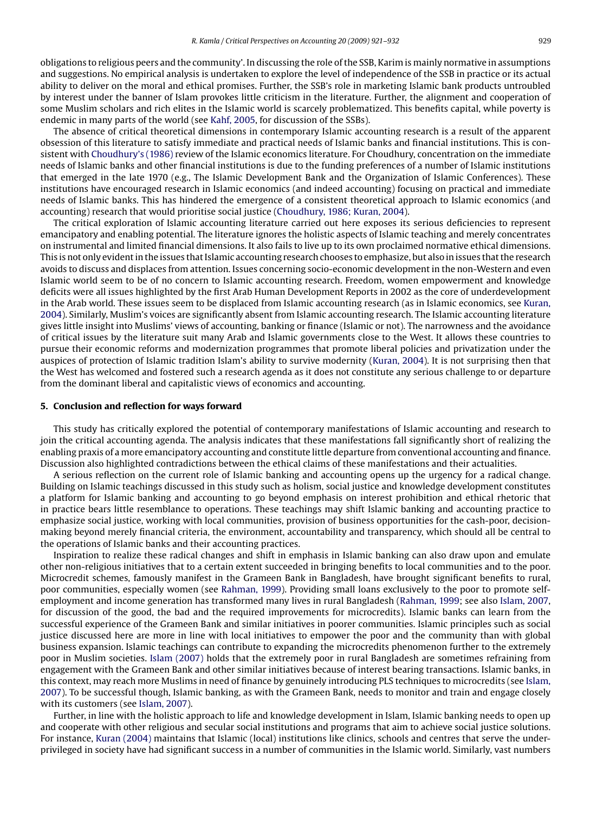obligations to religious peers and the community'. In discussing the role of the SSB, Karim is mainly normative in assumptions and suggestions. No empirical analysis is undertaken to explore the level of independence of the SSB in practice or its actual ability to deliver on the moral and ethical promises. Further, the SSB's role in marketing Islamic bank products untroubled by interest under the banner of Islam provokes little criticism in the literature. Further, the alignment and cooperation of some Muslim scholars and rich elites in the Islamic world is scarcely problematized. This benefits capital, while poverty is endemic in many parts of the world (see [Kahf, 2005, f](#page-10-0)or discussion of the SSBs).

The absence of critical theoretical dimensions in contemporary Islamic accounting research is a result of the apparent obsession of this literature to satisfy immediate and practical needs of Islamic banks and financial institutions. This is consistent with [Choudhury's \(1986\)](#page-10-0) review of the Islamic economics literature. For Choudhury, concentration on the immediate needs of Islamic banks and other financial institutions is due to the funding preferences of a number of Islamic institutions that emerged in the late 1970 (e.g., The Islamic Development Bank and the Organization of Islamic Conferences). These institutions have encouraged research in Islamic economics (and indeed accounting) focusing on practical and immediate needs of Islamic banks. This has hindered the emergence of a consistent theoretical approach to Islamic economics (and accounting) research that would prioritise social justice [\(Choudhury, 1986; Kuran, 2004\).](#page-10-0)

The critical exploration of Islamic accounting literature carried out here exposes its serious deficiencies to represent emancipatory and enabling potential. The literature ignores the holistic aspects of Islamic teaching and merely concentrates on instrumental and limited financial dimensions. It also fails to live up to its own proclaimed normative ethical dimensions. This is not only evident in the issues that Islamic accounting research chooses to emphasize, but also in issues that the research avoids to discuss and displaces from attention. Issues concerning socio-economic development in the non-Western and even Islamic world seem to be of no concern to Islamic accounting research. Freedom, women empowerment and knowledge deficits were all issues highlighted by the first Arab Human Development Reports in 2002 as the core of underdevelopment in the Arab world. These issues seem to be displaced from Islamic accounting research (as in Islamic economics, see [Kuran,](#page-10-0) [2004\).](#page-10-0) Similarly, Muslim's voices are significantly absent from Islamic accounting research. The Islamic accounting literature gives little insight into Muslims' views of accounting, banking or finance (Islamic or not). The narrowness and the avoidance of critical issues by the literature suit many Arab and Islamic governments close to the West. It allows these countries to pursue their economic reforms and modernization programmes that promote liberal policies and privatization under the auspices of protection of Islamic tradition Islam's ability to survive modernity ([Kuran, 2004\).](#page-10-0) It is not surprising then that the West has welcomed and fostered such a research agenda as it does not constitute any serious challenge to or departure from the dominant liberal and capitalistic views of economics and accounting.

#### **5. Conclusion and reflection for ways forward**

This study has critically explored the potential of contemporary manifestations of Islamic accounting and research to join the critical accounting agenda. The analysis indicates that these manifestations fall significantly short of realizing the enabling praxis of a more emancipatory accounting and constitute little departure from conventional accounting and finance. Discussion also highlighted contradictions between the ethical claims of these manifestations and their actualities.

A serious reflection on the current role of Islamic banking and accounting opens up the urgency for a radical change. Building on Islamic teachings discussed in this study such as holism, social justice and knowledge development constitutes a platform for Islamic banking and accounting to go beyond emphasis on interest prohibition and ethical rhetoric that in practice bears little resemblance to operations. These teachings may shift Islamic banking and accounting practice to emphasize social justice, working with local communities, provision of business opportunities for the cash-poor, decisionmaking beyond merely financial criteria, the environment, accountability and transparency, which should all be central to the operations of Islamic banks and their accounting practices.

Inspiration to realize these radical changes and shift in emphasis in Islamic banking can also draw upon and emulate other non-religious initiatives that to a certain extent succeeded in bringing benefits to local communities and to the poor. Microcredit schemes, famously manifest in the Grameen Bank in Bangladesh, have brought significant benefits to rural, poor communities, especially women (see [Rahman, 1999\).](#page-11-0) Providing small loans exclusively to the poor to promote selfemployment and income generation has transformed many lives in rural Bangladesh [\(Rahman, 1999; s](#page-11-0)ee also [Islam, 2007,](#page-10-0) for discussion of the good, the bad and the required improvements for microcredits). Islamic banks can learn from the successful experience of the Grameen Bank and similar initiatives in poorer communities. Islamic principles such as social justice discussed here are more in line with local initiatives to empower the poor and the community than with global business expansion. Islamic teachings can contribute to expanding the microcredits phenomenon further to the extremely poor in Muslim societies. [Islam \(2007\)](#page-10-0) holds that the extremely poor in rural Bangladesh are sometimes refraining from engagement with the Grameen Bank and other similar initiatives because of interest bearing transactions. Islamic banks, in this context, may reach more Muslims in need of finance by genuinely introducing PLS techniques to microcredits (see [Islam,](#page-10-0) [2007\).](#page-10-0) To be successful though, Islamic banking, as with the Grameen Bank, needs to monitor and train and engage closely with its customers (see [Islam, 2007\).](#page-10-0)

Further, in line with the holistic approach to life and knowledge development in Islam, Islamic banking needs to open up and cooperate with other religious and secular social institutions and programs that aim to achieve social justice solutions. For instance, [Kuran \(2004\)](#page-10-0) maintains that Islamic (local) institutions like clinics, schools and centres that serve the underprivileged in society have had significant success in a number of communities in the Islamic world. Similarly, vast numbers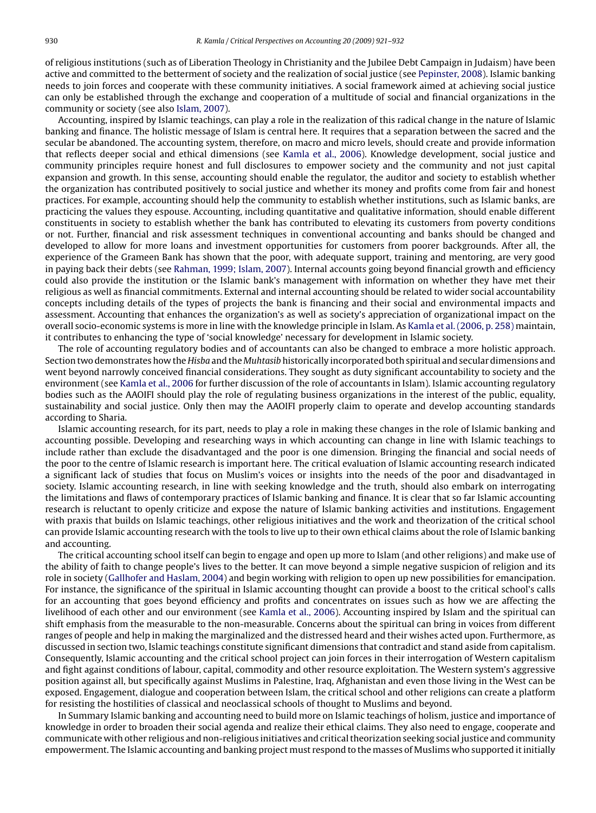of religious institutions (such as of Liberation Theology in Christianity and the Jubilee Debt Campaign in Judaism) have been active and committed to the betterment of society and the realization of social justice (see [Pepinster, 2008\).](#page-10-0) Islamic banking needs to join forces and cooperate with these community initiatives. A social framework aimed at achieving social justice can only be established through the exchange and cooperation of a multitude of social and financial organizations in the community or society (see also [Islam, 2007\).](#page-10-0)

Accounting, inspired by Islamic teachings, can play a role in the realization of this radical change in the nature of Islamic banking and finance. The holistic message of Islam is central here. It requires that a separation between the sacred and the secular be abandoned. The accounting system, therefore, on macro and micro levels, should create and provide information that reflects deeper social and ethical dimensions (see [Kamla et al., 2006\).](#page-10-0) Knowledge development, social justice and community principles require honest and full disclosures to empower society and the community and not just capital expansion and growth. In this sense, accounting should enable the regulator, the auditor and society to establish whether the organization has contributed positively to social justice and whether its money and profits come from fair and honest practices. For example, accounting should help the community to establish whether institutions, such as Islamic banks, are practicing the values they espouse. Accounting, including quantitative and qualitative information, should enable different constituents in society to establish whether the bank has contributed to elevating its customers from poverty conditions or not. Further, financial and risk assessment techniques in conventional accounting and banks should be changed and developed to allow for more loans and investment opportunities for customers from poorer backgrounds. After all, the experience of the Grameen Bank has shown that the poor, with adequate support, training and mentoring, are very good in paying back their debts (see [Rahman, 1999; Islam, 2007\).](#page-11-0) Internal accounts going beyond financial growth and efficiency could also provide the institution or the Islamic bank's management with information on whether they have met their religious as well as financial commitments. External and internal accounting should be related to wider social accountability concepts including details of the types of projects the bank is financing and their social and environmental impacts and assessment. Accounting that enhances the organization's as well as society's appreciation of organizational impact on the overall socio-economic systems is more in line with the knowledge principle in Islam. As [Kamla et al. \(2006, p. 258\)](#page-10-0) maintain, it contributes to enhancing the type of 'social knowledge' necessary for development in Islamic society.

The role of accounting regulatory bodies and of accountants can also be changed to embrace a more holistic approach. Section two demonstrates how the *Hisba* and the *Muhtasib*historically incorporated both spiritual and secular dimensions and went beyond narrowly conceived financial considerations. They sought as duty significant accountability to society and the environment (see [Kamla et al., 2006](#page-10-0) for further discussion of the role of accountants in Islam). Islamic accounting regulatory bodies such as the AAOIFI should play the role of regulating business organizations in the interest of the public, equality, sustainability and social justice. Only then may the AAOIFI properly claim to operate and develop accounting standards according to Sharia.

Islamic accounting research, for its part, needs to play a role in making these changes in the role of Islamic banking and accounting possible. Developing and researching ways in which accounting can change in line with Islamic teachings to include rather than exclude the disadvantaged and the poor is one dimension. Bringing the financial and social needs of the poor to the centre of Islamic research is important here. The critical evaluation of Islamic accounting research indicated a significant lack of studies that focus on Muslim's voices or insights into the needs of the poor and disadvantaged in society. Islamic accounting research, in line with seeking knowledge and the truth, should also embark on interrogating the limitations and flaws of contemporary practices of Islamic banking and finance. It is clear that so far Islamic accounting research is reluctant to openly criticize and expose the nature of Islamic banking activities and institutions. Engagement with praxis that builds on Islamic teachings, other religious initiatives and the work and theorization of the critical school can provide Islamic accounting research with the tools to live up to their own ethical claims about the role of Islamic banking and accounting.

The critical accounting school itself can begin to engage and open up more to Islam (and other religions) and make use of the ability of faith to change people's lives to the better. It can move beyond a simple negative suspicion of religion and its role in society [\(Gallhofer and Haslam, 2004\)](#page-10-0) and begin working with religion to open up new possibilities for emancipation. For instance, the significance of the spiritual in Islamic accounting thought can provide a boost to the critical school's calls for an accounting that goes beyond efficiency and profits and concentrates on issues such as how we are affecting the livelihood of each other and our environment (see [Kamla et al., 2006\).](#page-10-0) Accounting inspired by Islam and the spiritual can shift emphasis from the measurable to the non-measurable. Concerns about the spiritual can bring in voices from different ranges of people and help in making the marginalized and the distressed heard and their wishes acted upon. Furthermore, as discussed in section two, Islamic teachings constitute significant dimensions that contradict and stand aside from capitalism. Consequently, Islamic accounting and the critical school project can join forces in their interrogation of Western capitalism and fight against conditions of labour, capital, commodity and other resource exploitation. The Western system's aggressive position against all, but specifically against Muslims in Palestine, Iraq, Afghanistan and even those living in the West can be exposed. Engagement, dialogue and cooperation between Islam, the critical school and other religions can create a platform for resisting the hostilities of classical and neoclassical schools of thought to Muslims and beyond.

In Summary Islamic banking and accounting need to build more on Islamic teachings of holism, justice and importance of knowledge in order to broaden their social agenda and realize their ethical claims. They also need to engage, cooperate and communicate with other religious and non-religious initiatives and critical theorization seeking social justice and community empowerment. The Islamic accounting and banking project must respond to the masses of Muslims who supported it initially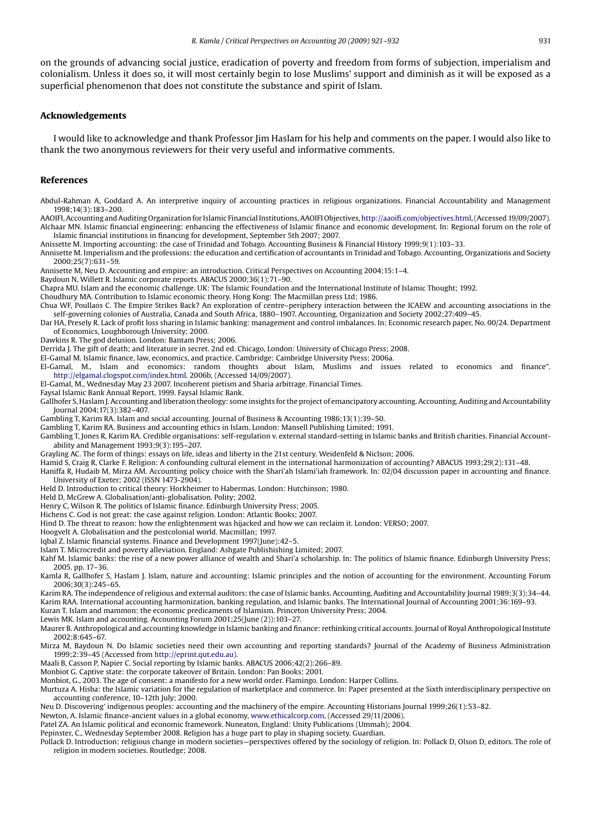<span id="page-10-0"></span>on the grounds of advancing social justice, eradication of poverty and freedom from forms of subjection, imperialism and colonialism. Unless it does so, it will most certainly begin to lose Muslims' support and diminish as it will be exposed as a superficial phenomenon that does not constitute the substance and spirit of Islam.

#### **Acknowledgements**

I would like to acknowledge and thank Professor Jim Haslam for his help and comments on the paper. I would also like to thank the two anonymous reviewers for their very useful and informative comments.

#### **References**

Abdul-Rahman A, Goddard A. An interpretive inquiry of accounting practices in religious organizations. Financial Accountability and Management 1998;14(3):183–200.

AAOIFI, Accounting and Auditing Organization for Islamic Financial Institutions, AAOIFI Objectives, [http://aaoifi.com/objectives.html,](http://aaoifi.com/objectives.html) (Accessed 19/09/2007). Alchaar MN. Islamic financial engineering: enhancing the effectiveness of Islamic finance and economic development. In: Regional forum on the role of Islamic financial institutions in financing for development, September 5th 2007; 2007.

Anissette M. Importing accounting: the case of Trinidad and Tobago. Accounting Business & Financial History 1999;9(1):103–33.

Annisette M. Imperialism and the professions: the education and certification of accountants in Trinidad and Tobago. Accounting, Organizations and Society 2000;25(7):631–59.

Annisette M, Neu D. Accounting and empire: an introduction. Critical Perspectives on Accounting 2004;15:1–4.

Baydoun N, Willett R. Islamic corporate reports. ABACUS 2000;36(1):71–90.

Chapra MU. Islam and the economic challenge. UK: The Islamic Foundation and the International Institute of Islamic Thought; 1992.

Choudhury MA. Contribution to Islamic economic theory. Hong Kong: The Macmillan press Ltd; 1986.

Chua WF, Poullaos C. The Empire Strikes Back? An exploration of centre–periphery interaction between the ICAEW and accounting associations in the self-governing colonies of Australia, Canada and South Africa, 1880–1907. Accounting, Organization and Society 2002;27:409–45.

Dar HA, Presely R. Lack of profit loss sharing in Islamic banking: management and control imbalances. In: Economic research paper, No. 00/24. Department of Economics, Loughborough University; 2000.

Dawkins R. The god delusion. London: Bantam Press; 2006.

Derrida J. The gift of death; and literature in secret. 2nd ed. Chicago, London: University of Chicago Press; 2008.

El-Gamal M. Islamic finance, law, economics, and practice. Cambridge: Cambridge University Press; 2006a.

El-Gamal, M., Islam and economics: random thoughts about Islam, Muslims and issues related to economics and finance". <http://elgamal.clogspot.com/index.html>. 2006b, (Accessed 14/09/2007).

El-Gamal, M., Wednesday May 23 2007. Incoherent pietism and Sharia arbitrage. Financial Times.

Faysal Islamic Bank Annual Report, 1999. Faysal Islamic Bank.

Gallhofer S, Haslam J. Accounting and liberation theology: some insights for the project of emancipatory accounting. Accounting, Auditing and Accountability Journal 2004;17(3):382–407.

Gambling T, Karim RA. Islam and social accounting. Journal of Business & Accounting 1986;13(1):39–50.

Gambling T, Karim RA. Business and accounting ethics in Islam. London: Mansell Publishing Limited; 1991.

Gambling T, Jones R, Karim RA. Credible organisations: self-regulation v. external standard-setting in Islamic banks and British charities. Financial Accountability and Management 1993;9(3):195–207.

Grayling AC. The form of things: essays on life, ideas and liberty in the 21st century. Weidenfeld & Niclson; 2006.

Hamid S, Craig R, Clarke F. Religion: A confounding cultural element in the international harmonization of accounting? ABACUS 1993;29(2):131–48.

Haniffa R, Hudaib M, Mirza AM. Accounting policy choice with the Shari'ah Islami'iah framework. In: 02/04 discussion paper in accounting and finance. University of Exeter; 2002 (ISSN 1473-2904).

Held D. Introduction to critical theory: Horkheimer to Habermas. London: Hutchinson; 1980.

Held D, McGrew A. Globalisation/anti-globalisation. Polity; 2002.

Henry C, Wilson R. The politics of Islamic finance. Edinburgh University Press; 2005.

Hichens C. God is not great: the case against religion. London: Atlantic Books; 2007.

Hind D. The threat to reason: how the enlightenment was hijacked and how we can reclaim it. London: VERSO; 2007.

Hoogvelt A. Globalisation and the postcolonial world. Macmillan; 1997.

Iqbal Z. Islamic financial systems. Finance and Development 1997(June):42–5.

Islam T. Microcredit and poverty alleviation. England: Ashgate Publishishing Limited; 2007.

Kahf M. Islamic banks: the rise of a new power alliance of wealth and Shari'a scholarship. In: The politics of Islamic finance. Edinburgh University Press; 2005. pp. 17–36.

Kamla R, Gallhofer S, Haslam J. Islam, nature and accounting: Islamic principles and the notion of accounting for the environment. Accounting Forum 2006;30(3):245–65.

Karim RA. The independence of religious and external auditors: the case of Islamic banks. Accounting, Auditing and Accountability Journal 1989;3(3):34–44. Karim RAA. International accounting harmonization, banking regulation, and Islamic banks. The International Journal of Accounting 2001;36:169–93.

Kuran T. Islam and mammon: the economic predicaments of Islamism. Princeton University Press; 2004.

Lewis MK. Islam and accounting. Accounting Forum 2001;25(June (2)):103–27.

Maurer B. Anthropological and accounting knowledge in Islamic banking and finance: rethinking critical accounts. Journal of Royal Anthropological Institute 2002;8:645–67.

Mirza M, Baydoun N. Do Islamic societies need their own accounting and reporting standards? Journal of the Academy of Business Administration 1999;2:39–45 (Accessed from [http://eprint.qut.edu.au](http://eprint.qut.edu.au/)).

Maali B, Casson P, Napier C. Social reporting by Islamic banks. ABACUS 2006;42(2):266–89.

Monbiot G. Captive state: the corporate takeover of Britain. London: Pan Books; 2001.

Monbiot, G., 2003. The age of consent: a manifesto for a new world order. Flamingo. London: Harper Collins.

Murtuza A. Hisba: the Islamic variation for the regulation of marketplace and commerce. In: Paper presented at the Sixth interdisciplinary perspective on accounting conference, 10–12th July; 2000.

Neu D. Discovering' indigenous peoples: accounting and the machinery of the empire. Accounting Historians Journal 1999;26(1):53–82.

Newton, A. Islamic finance-ancient values in a global economy, [www.ethicalcorp.com](http://www.ethicalcorp.com/), (Accessed 29/11/2006).

Patel ZA. An Islamic political and economic framework. Nuneaton, England: Unity Publications (Ummah); 2004.

Pepinster, C., Wednesday September 2008. Religion has a huge part to play in shaping society. Guardian.

Pollack D. Introduction: religious change in modern societies—perspectives offered by the sociology of religion. In: Pollack D, Olson D, editors. The role of religion in modern societies. Routledge; 2008.